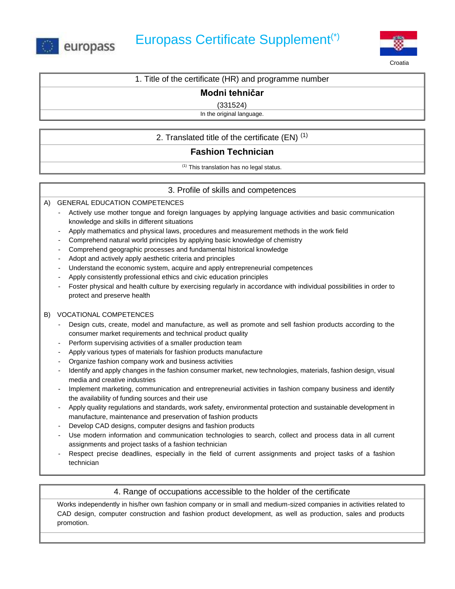



Croatia

1. Title of the certificate (HR) and programme number

## **Modni tehničar**

(331524)

In the original language.

## 2. Translated title of the certificate  $(EN)^{(1)}$

# **Fashion Technician**

(1) This translation has no legal status.

## 3. Profile of skills and competences

A) GENERAL EDUCATION COMPETENCES

- Actively use mother tongue and foreign languages by applying language activities and basic communication knowledge and skills in different situations
- Apply mathematics and physical laws, procedures and measurement methods in the work field
- Comprehend natural world principles by applying basic knowledge of chemistry
- Comprehend geographic processes and fundamental historical knowledge
- Adopt and actively apply aesthetic criteria and principles
- Understand the economic system, acquire and apply entrepreneurial competences
- Apply consistently professional ethics and civic education principles
- Foster physical and health culture by exercising regularly in accordance with individual possibilities in order to protect and preserve health

#### B) VOCATIONAL COMPETENCES

- Design cuts, create, model and manufacture, as well as promote and sell fashion products according to the consumer market requirements and technical product quality
- Perform supervising activities of a smaller production team
- Apply various types of materials for fashion products manufacture
- Organize fashion company work and business activities
- Identify and apply changes in the fashion consumer market, new technologies, materials, fashion design, visual media and creative industries
- Implement marketing, communication and entrepreneurial activities in fashion company business and identify the availability of funding sources and their use
- Apply quality regulations and standards, work safety, environmental protection and sustainable development in manufacture, maintenance and preservation of fashion products
- Develop CAD designs, computer designs and fashion products
- Use modern information and communication technologies to search, collect and process data in all current assignments and project tasks of a fashion technician
- Respect precise deadlines, especially in the field of current assignments and project tasks of a fashion technician

### 4. Range of occupations accessible to the holder of the certificate

Works independently in his/her own fashion company or in small and medium-sized companies in activities related to CAD design, computer construction and fashion product development, as well as production, sales and products promotion.